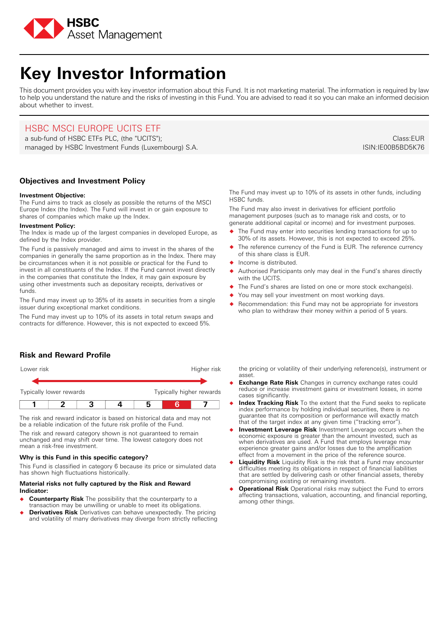

# **Key Investor Information**

This document provides you with key investor information about this Fund. It is not marketing material. The information is required by law to help you understand the nature and the risks of investing in this Fund. You are advised to read it so you can make an informed decision about whether to invest.

# HSBC MSCI EUROPE UCITS ETF

a sub-fund of HSBC ETFs PLC, (the "UCITS"); managed by HSBC Investment Funds (Luxembourg) S.A.

**Objectives and Investment Policy**

## **Investment Objective:**

The Fund aims to track as closely as possible the returns of the MSCI Europe Index (the Index). The Fund will invest in or gain exposure to shares of companies which make up the Index.

#### **Investment Policy:**

The Index is made up of the largest companies in developed Europe, as defined by the Index provider.

The Fund is passively managed and aims to invest in the shares of the companies in generally the same proportion as in the Index. There may be circumstances when it is not possible or practical for the Fund to invest in all constituents of the Index. If the Fund cannot invest directly in the companies that constitute the Index, it may gain exposure by using other investments such as depositary receipts, derivatives or funds.

The Fund may invest up to 35% of its assets in securities from a single issuer during exceptional market conditions.

The Fund may invest up to 10% of its assets in total return swaps and contracts for difference. However, this is not expected to exceed 5%.

Class:EUR ISIN:IE00B5BD5K76

## The Fund may invest up to 10% of its assets in other funds, including HSBC funds.

The Fund may also invest in derivatives for efficient portfolio management purposes (such as to manage risk and costs, or to generate additional capital or income) and for investment purposes.

- � The Fund may enter into securities lending transactions for up to 30% of its assets. However, this is not expected to exceed 25%.
- The reference currency of the Fund is EUR. The reference currency of this share class is EUR.
- � Income is distributed.
- Authorised Participants only may deal in the Fund's shares directly with the UCITS.
- The Fund's shares are listed on one or more stock exchange(s).
- You may sell your investment on most working days.
- Recommendation: this Fund may not be appropriate for investors who plan to withdraw their money within a period of 5 years.

## **Risk and Reward Profile**



The risk and reward indicator is based on historical data and may not be a reliable indication of the future risk profile of the Fund.

The risk and reward category shown is not guaranteed to remain unchanged and may shift over time. The lowest category does not mean a risk-free investment.

## **Why is this Fund in this specific category?**

This Fund is classified in category 6 because its price or simulated data has shown high fluctuations historically.

## **Material risks not fully captured by the Risk and Reward Indicator:**

- � **Counterparty Risk** The possibility that the counterparty to a transaction may be unwilling or unable to meet its obligations.
- **Derivatives Risk** Derivatives can behave unexpectedly. The pricing and volatility of many derivatives may diverge from strictly reflecting

the pricing or volatility of their underlying reference(s), instrument or asset.

- **Exchange Rate Risk** Changes in currency exchange rates could reduce or increase investment gains or investment losses, in some cases significantly.
- � **Index Tracking Risk** To the extent that the Fund seeks to replicate index performance by holding individual securities, there is no guarantee that its composition or performance will exactly match that of the target index at any given time ("tracking error").
- � **Investment Leverage Risk** Investment Leverage occurs when the economic exposure is greater than the amount invested, such as when derivatives are used. A Fund that employs leverage may experience greater gains and/or losses due to the amplification effect from a movement in the price of the reference source.
- **Liquidity Risk** Liquidity Risk is the risk that a Fund may encounter difficulties meeting its obligations in respect of financial liabilities that are settled by delivering cash or other financial assets, thereby compromising existing or remaining investors.
- **Operational Risk** Operational risks may subject the Fund to errors affecting transactions, valuation, accounting, and financial reporting, among other things.